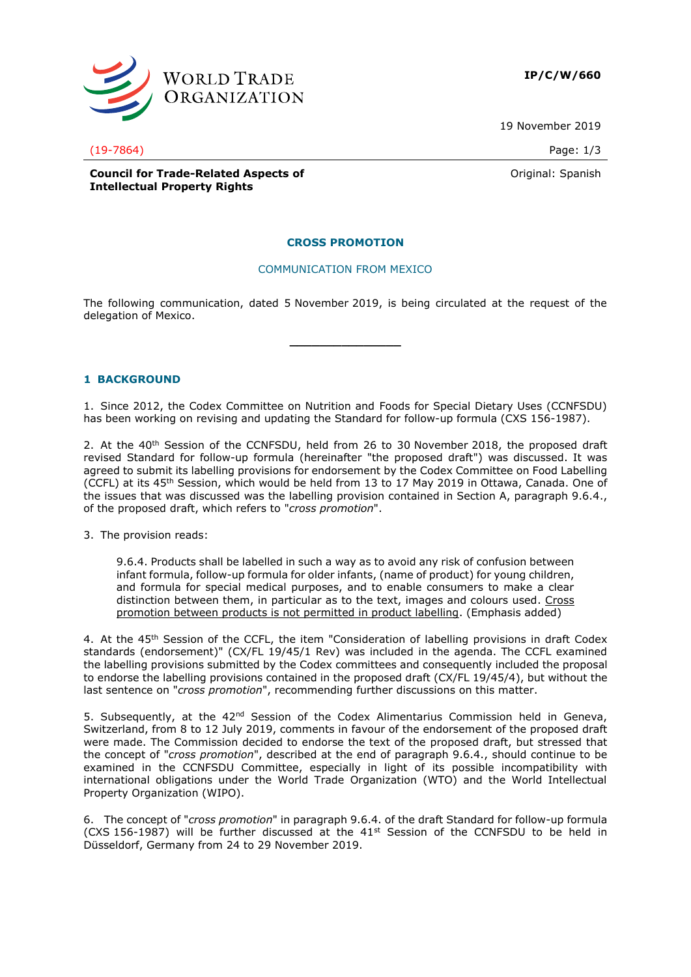

**IP/C/W/660**

19 November 2019

(19-7864) Page: 1/3

Original: Spanish

**Council for Trade-Related Aspects of Intellectual Property Rights**

# **CROSS PROMOTION**

#### COMMUNICATION FROM MEXICO

The following communication, dated 5 November 2019, is being circulated at the request of the delegation of Mexico.

**\_\_\_\_\_\_\_\_\_\_\_\_\_\_\_**

## **1 BACKGROUND**

1. Since 2012, the Codex Committee on Nutrition and Foods for Special Dietary Uses (CCNFSDU) has been working on revising and updating the Standard for follow-up formula (CXS 156-1987).

2. At the 40<sup>th</sup> Session of the CCNFSDU, held from 26 to 30 November 2018, the proposed draft revised Standard for follow-up formula (hereinafter "the proposed draft") was discussed. It was agreed to submit its labelling provisions for endorsement by the Codex Committee on Food Labelling (CCFL) at its 45th Session, which would be held from 13 to 17 May 2019 in Ottawa, Canada. One of the issues that was discussed was the labelling provision contained in Section A, paragraph 9.6.4., of the proposed draft, which refers to "*cross promotion*".

3. The provision reads:

9.6.4. Products shall be labelled in such a way as to avoid any risk of confusion between infant formula, follow-up formula for older infants, (name of product) for young children, and formula for special medical purposes, and to enable consumers to make a clear distinction between them, in particular as to the text, images and colours used. Cross promotion between products is not permitted in product labelling. (Emphasis added)

4. At the 45<sup>th</sup> Session of the CCFL, the item "Consideration of labelling provisions in draft Codex standards (endorsement)" (CX/FL 19/45/1 Rev) was included in the agenda. The CCFL examined the labelling provisions submitted by the Codex committees and consequently included the proposal to endorse the labelling provisions contained in the proposed draft (CX/FL 19/45/4), but without the last sentence on "*cross promotion*", recommending further discussions on this matter.

5. Subsequently, at the 42<sup>nd</sup> Session of the Codex Alimentarius Commission held in Geneva, Switzerland, from 8 to 12 July 2019, comments in favour of the endorsement of the proposed draft were made. The Commission decided to endorse the text of the proposed draft, but stressed that the concept of "*cross promotion*", described at the end of paragraph 9.6.4., should continue to be examined in the CCNFSDU Committee, especially in light of its possible incompatibility with international obligations under the World Trade Organization (WTO) and the World Intellectual Property Organization (WIPO).

6. The concept of "*cross promotion*" in paragraph 9.6.4. of the draft Standard for follow-up formula (CXS 156-1987) will be further discussed at the 41st Session of the CCNFSDU to be held in Düsseldorf, Germany from 24 to 29 November 2019.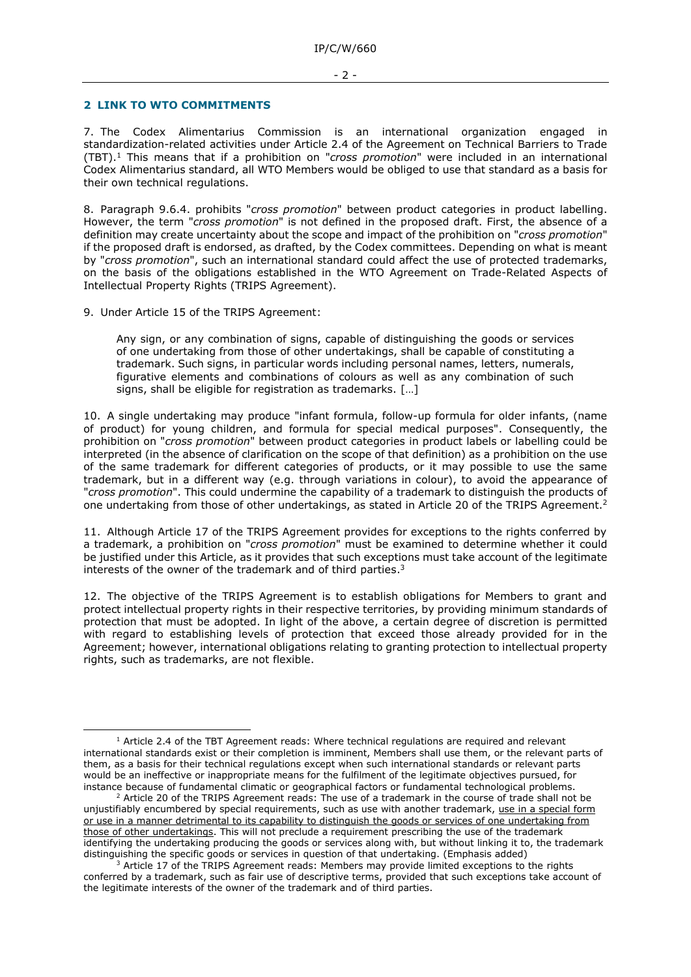#### **2 LINK TO WTO COMMITMENTS**

7. The Codex Alimentarius Commission is an international organization engaged in standardization-related activities under Article 2.4 of the Agreement on Technical Barriers to Trade (TBT). <sup>1</sup> This means that if a prohibition on "*cross promotion*" were included in an international Codex Alimentarius standard, all WTO Members would be obliged to use that standard as a basis for their own technical regulations.

8. Paragraph 9.6.4. prohibits "*cross promotion*" between product categories in product labelling. However, the term "*cross promotion*" is not defined in the proposed draft. First, the absence of a definition may create uncertainty about the scope and impact of the prohibition on "*cross promotion*" if the proposed draft is endorsed, as drafted, by the Codex committees. Depending on what is meant by "*cross promotion*", such an international standard could affect the use of protected trademarks, on the basis of the obligations established in the WTO Agreement on Trade-Related Aspects of Intellectual Property Rights (TRIPS Agreement).

9. Under Article 15 of the TRIPS Agreement:

-

Any sign, or any combination of signs, capable of distinguishing the goods or services of one undertaking from those of other undertakings, shall be capable of constituting a trademark. Such signs, in particular words including personal names, letters, numerals, figurative elements and combinations of colours as well as any combination of such signs, shall be eligible for registration as trademarks. […]

10. A single undertaking may produce "infant formula, follow-up formula for older infants, (name of product) for young children, and formula for special medical purposes". Consequently, the prohibition on "*cross promotion*" between product categories in product labels or labelling could be interpreted (in the absence of clarification on the scope of that definition) as a prohibition on the use of the same trademark for different categories of products, or it may possible to use the same trademark, but in a different way (e.g. through variations in colour), to avoid the appearance of "*cross promotion*". This could undermine the capability of a trademark to distinguish the products of one undertaking from those of other undertakings, as stated in Article 20 of the TRIPS Agreement. 2

11. Although Article 17 of the TRIPS Agreement provides for exceptions to the rights conferred by a trademark, a prohibition on "*cross promotion*" must be examined to determine whether it could be justified under this Article, as it provides that such exceptions must take account of the legitimate interests of the owner of the trademark and of third parties. 3

12. The objective of the TRIPS Agreement is to establish obligations for Members to grant and protect intellectual property rights in their respective territories, by providing minimum standards of protection that must be adopted. In light of the above, a certain degree of discretion is permitted with regard to establishing levels of protection that exceed those already provided for in the Agreement; however, international obligations relating to granting protection to intellectual property rights, such as trademarks, are not flexible.

 $1$  Article 2.4 of the TBT Agreement reads: Where technical regulations are reguired and relevant international standards exist or their completion is imminent, Members shall use them, or the relevant parts of them, as a basis for their technical regulations except when such international standards or relevant parts would be an ineffective or inappropriate means for the fulfilment of the legitimate objectives pursued, for instance because of fundamental climatic or geographical factors or fundamental technological problems.

 $2$  Article 20 of the TRIPS Agreement reads: The use of a trademark in the course of trade shall not be unjustifiably encumbered by special requirements, such as use with another trademark, use in a special form or use in a manner detrimental to its capability to distinguish the goods or services of one undertaking from those of other undertakings. This will not preclude a requirement prescribing the use of the trademark identifying the undertaking producing the goods or services along with, but without linking it to, the trademark distinguishing the specific goods or services in question of that undertaking. (Emphasis added)

 $3$  Article 17 of the TRIPS Agreement reads: Members may provide limited exceptions to the rights conferred by a trademark, such as fair use of descriptive terms, provided that such exceptions take account of the legitimate interests of the owner of the trademark and of third parties.